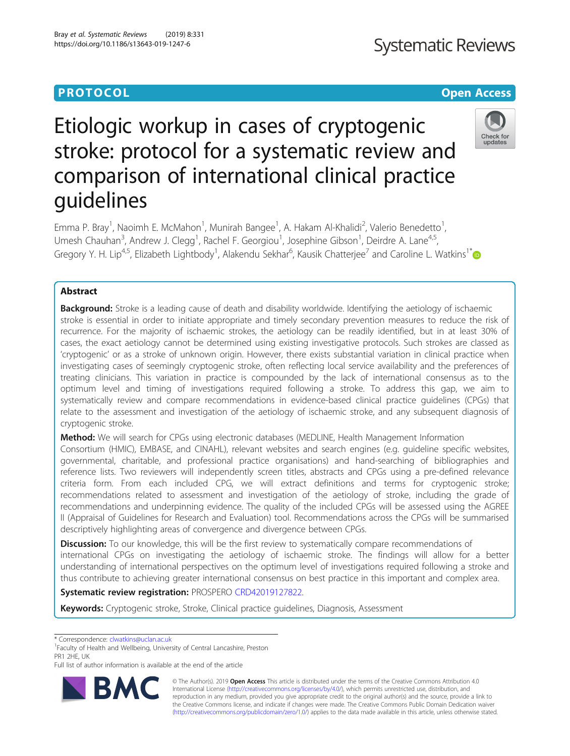## **Systematic Reviews**

### **PROTOCOL CONSUMING THE CONSUMING TEACHER CONSUMING THE CONSUMING TEACHER CONSUMING THE CONSUMING TEACHER CONSUMING**

## Check for updates

# Etiologic workup in cases of cryptogenic stroke: protocol for a systematic review and comparison of international clinical practice guidelines

Emma P. Bray<sup>1</sup>, Naoimh E. McMahon<sup>1</sup>, Munirah Bangee<sup>1</sup>, A. Hakam Al-Khalidi<sup>2</sup>, Valerio Benedetto<sup>1</sup> , Umesh Chauhan<sup>3</sup>, Andrew J. Clegg<sup>1</sup>, Rachel F. Georgiou<sup>1</sup>, Josephine Gibson<sup>1</sup>, Deirdre A. Lane<sup>4,5</sup>, Gregory Y. H. Lip<sup>4,5</sup>, Elizabeth Lightbody<sup>1</sup>, Alakendu Sekhar<sup>6</sup>, Kausik Chatterjee<sup>7</sup> and Caroline L. Watkins<sup>1\*</sup>

### Abstract

**Background:** Stroke is a leading cause of death and disability worldwide. Identifying the aetiology of ischaemic stroke is essential in order to initiate appropriate and timely secondary prevention measures to reduce the risk of recurrence. For the majority of ischaemic strokes, the aetiology can be readily identified, but in at least 30% of cases, the exact aetiology cannot be determined using existing investigative protocols. Such strokes are classed as 'cryptogenic' or as a stroke of unknown origin. However, there exists substantial variation in clinical practice when investigating cases of seemingly cryptogenic stroke, often reflecting local service availability and the preferences of treating clinicians. This variation in practice is compounded by the lack of international consensus as to the optimum level and timing of investigations required following a stroke. To address this gap, we aim to systematically review and compare recommendations in evidence-based clinical practice guidelines (CPGs) that relate to the assessment and investigation of the aetiology of ischaemic stroke, and any subsequent diagnosis of cryptogenic stroke.

Method: We will search for CPGs using electronic databases (MEDLINE, Health Management Information Consortium (HMIC), EMBASE, and CINAHL), relevant websites and search engines (e.g. guideline specific websites, governmental, charitable, and professional practice organisations) and hand-searching of bibliographies and reference lists. Two reviewers will independently screen titles, abstracts and CPGs using a pre-defined relevance criteria form. From each included CPG, we will extract definitions and terms for cryptogenic stroke; recommendations related to assessment and investigation of the aetiology of stroke, including the grade of recommendations and underpinning evidence. The quality of the included CPGs will be assessed using the AGREE II (Appraisal of Guidelines for Research and Evaluation) tool. Recommendations across the CPGs will be summarised descriptively highlighting areas of convergence and divergence between CPGs.

**Discussion:** To our knowledge, this will be the first review to systematically compare recommendations of international CPGs on investigating the aetiology of ischaemic stroke. The findings will allow for a better understanding of international perspectives on the optimum level of investigations required following a stroke and thus contribute to achieving greater international consensus on best practice in this important and complex area.

Systematic review registration: PROSPERO [CRD42019127822](https://www.crd.york.ac.uk/PROSPERO/display_record.php?RecordID=127822).

Keywords: Cryptogenic stroke, Stroke, Clinical practice guidelines, Diagnosis, Assessment

\* Correspondence: [clwatkins@uclan.ac.uk](mailto:clwatkins@uclan.ac.uk) <sup>1</sup>

<sup>1</sup> Faculty of Health and Wellbeing, University of Central Lancashire, Preston PR1 2HE, UK

Full list of author information is available at the end of the article



© The Author(s). 2019 Open Access This article is distributed under the terms of the Creative Commons Attribution 4.0 International License [\(http://creativecommons.org/licenses/by/4.0/](http://creativecommons.org/licenses/by/4.0/)), which permits unrestricted use, distribution, and reproduction in any medium, provided you give appropriate credit to the original author(s) and the source, provide a link to the Creative Commons license, and indicate if changes were made. The Creative Commons Public Domain Dedication waiver [\(http://creativecommons.org/publicdomain/zero/1.0/](http://creativecommons.org/publicdomain/zero/1.0/)) applies to the data made available in this article, unless otherwise stated.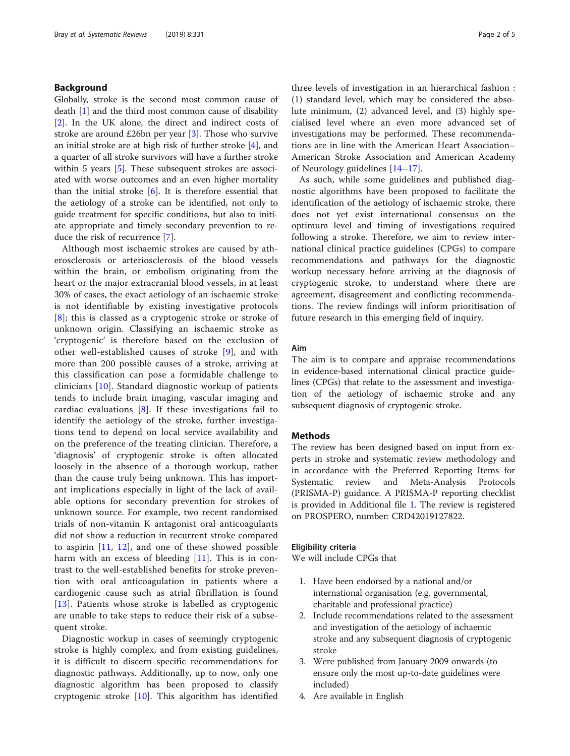#### Background

Globally, stroke is the second most common cause of death [[1](#page-3-0)] and the third most common cause of disability [[2\]](#page-3-0). In the UK alone, the direct and indirect costs of stroke are around £26bn per year [\[3](#page-3-0)]. Those who survive an initial stroke are at high risk of further stroke [\[4](#page-3-0)], and a quarter of all stroke survivors will have a further stroke within 5 years [\[5](#page-3-0)]. These subsequent strokes are associated with worse outcomes and an even higher mortality than the initial stroke  $[6]$  $[6]$ . It is therefore essential that the aetiology of a stroke can be identified, not only to guide treatment for specific conditions, but also to initiate appropriate and timely secondary prevention to reduce the risk of recurrence [\[7](#page-3-0)].

Although most ischaemic strokes are caused by atherosclerosis or arteriosclerosis of the blood vessels within the brain, or embolism originating from the heart or the major extracranial blood vessels, in at least 30% of cases, the exact aetiology of an ischaemic stroke is not identifiable by existing investigative protocols [[8](#page-3-0)]; this is classed as a cryptogenic stroke or stroke of unknown origin. Classifying an ischaemic stroke as 'cryptogenic' is therefore based on the exclusion of other well-established causes of stroke [[9](#page-3-0)], and with more than 200 possible causes of a stroke, arriving at this classification can pose a formidable challenge to clinicians [[10](#page-3-0)]. Standard diagnostic workup of patients tends to include brain imaging, vascular imaging and cardiac evaluations [\[8\]](#page-3-0). If these investigations fail to identify the aetiology of the stroke, further investigations tend to depend on local service availability and on the preference of the treating clinician. Therefore, a 'diagnosis' of cryptogenic stroke is often allocated loosely in the absence of a thorough workup, rather than the cause truly being unknown. This has important implications especially in light of the lack of available options for secondary prevention for strokes of unknown source. For example, two recent randomised trials of non-vitamin K antagonist oral anticoagulants did not show a reduction in recurrent stroke compared to aspirin  $[11, 12]$  $[11, 12]$  $[11, 12]$  $[11, 12]$ , and one of these showed possible harm with an excess of bleeding [[11\]](#page-3-0). This is in contrast to the well-established benefits for stroke prevention with oral anticoagulation in patients where a cardiogenic cause such as atrial fibrillation is found [[13](#page-3-0)]. Patients whose stroke is labelled as cryptogenic are unable to take steps to reduce their risk of a subsequent stroke.

Diagnostic workup in cases of seemingly cryptogenic stroke is highly complex, and from existing guidelines, it is difficult to discern specific recommendations for diagnostic pathways. Additionally, up to now, only one diagnostic algorithm has been proposed to classify cryptogenic stroke [[10\]](#page-3-0). This algorithm has identified

three levels of investigation in an hierarchical fashion : (1) standard level, which may be considered the absolute minimum, (2) advanced level, and (3) highly specialised level where an even more advanced set of investigations may be performed. These recommendations are in line with the American Heart Association– American Stroke Association and American Academy of Neurology guidelines [\[14](#page-3-0)–[17](#page-3-0)].

As such, while some guidelines and published diagnostic algorithms have been proposed to facilitate the identification of the aetiology of ischaemic stroke, there does not yet exist international consensus on the optimum level and timing of investigations required following a stroke. Therefore, we aim to review international clinical practice guidelines (CPGs) to compare recommendations and pathways for the diagnostic workup necessary before arriving at the diagnosis of cryptogenic stroke, to understand where there are agreement, disagreement and conflicting recommendations. The review findings will inform prioritisation of future research in this emerging field of inquiry.

### Aim

The aim is to compare and appraise recommendations in evidence-based international clinical practice guidelines (CPGs) that relate to the assessment and investigation of the aetiology of ischaemic stroke and any subsequent diagnosis of cryptogenic stroke.

#### Methods

The review has been designed based on input from experts in stroke and systematic review methodology and in accordance with the Preferred Reporting Items for Systematic review and Meta-Analysis Protocols (PRISMA-P) guidance. A PRISMA-P reporting checklist is provided in Additional file [1](#page-3-0). The review is registered on PROSPERO, number: CRD42019127822.

#### Eligibility criteria

We will include CPGs that

- 1. Have been endorsed by a national and/or international organisation (e.g. governmental, charitable and professional practice)
- 2. Include recommendations related to the assessment and investigation of the aetiology of ischaemic stroke and any subsequent diagnosis of cryptogenic stroke
- 3. Were published from January 2009 onwards (to ensure only the most up-to-date guidelines were included)
- 4. Are available in English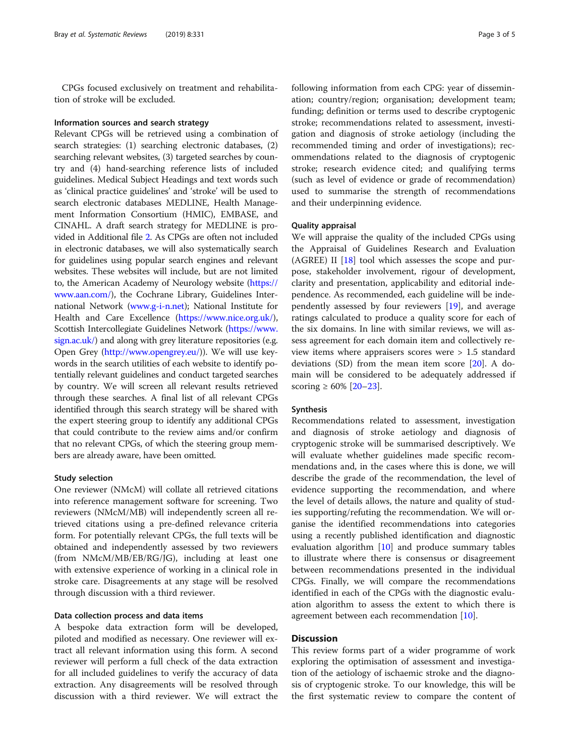CPGs focused exclusively on treatment and rehabilitation of stroke will be excluded.

#### Information sources and search strategy

Relevant CPGs will be retrieved using a combination of search strategies: (1) searching electronic databases, (2) searching relevant websites, (3) targeted searches by country and (4) hand-searching reference lists of included guidelines. Medical Subject Headings and text words such as 'clinical practice guidelines' and 'stroke' will be used to search electronic databases MEDLINE, Health Management Information Consortium (HMIC), EMBASE, and CINAHL. A draft search strategy for MEDLINE is provided in Additional file [2.](#page-3-0) As CPGs are often not included in electronic databases, we will also systematically search for guidelines using popular search engines and relevant websites. These websites will include, but are not limited to, the American Academy of Neurology website [\(https://](https://www.aan.com/) [www.aan.com/\)](https://www.aan.com/), the Cochrane Library, Guidelines International Network [\(www.g-i-n.net\)](http://www.g-i-n.net); National Institute for Health and Care Excellence [\(https://www.nice.org.uk/](https://www.nice.org.uk/)), Scottish Intercollegiate Guidelines Network ([https://www.](https://www.sign.ac.uk/) [sign.ac.uk/](https://www.sign.ac.uk/)) and along with grey literature repositories (e.g. Open Grey [\(http://www.opengrey.eu/\)](http://www.opengrey.eu/))). We will use keywords in the search utilities of each website to identify potentially relevant guidelines and conduct targeted searches by country. We will screen all relevant results retrieved through these searches. A final list of all relevant CPGs identified through this search strategy will be shared with the expert steering group to identify any additional CPGs that could contribute to the review aims and/or confirm that no relevant CPGs, of which the steering group members are already aware, have been omitted.

#### Study selection

One reviewer (NMcM) will collate all retrieved citations into reference management software for screening. Two reviewers (NMcM/MB) will independently screen all retrieved citations using a pre-defined relevance criteria form. For potentially relevant CPGs, the full texts will be obtained and independently assessed by two reviewers (from NMcM/MB/EB/RG/JG), including at least one with extensive experience of working in a clinical role in stroke care. Disagreements at any stage will be resolved through discussion with a third reviewer.

#### Data collection process and data items

A bespoke data extraction form will be developed, piloted and modified as necessary. One reviewer will extract all relevant information using this form. A second reviewer will perform a full check of the data extraction for all included guidelines to verify the accuracy of data extraction. Any disagreements will be resolved through discussion with a third reviewer. We will extract the following information from each CPG: year of dissemination; country/region; organisation; development team; funding; definition or terms used to describe cryptogenic stroke; recommendations related to assessment, investigation and diagnosis of stroke aetiology (including the recommended timing and order of investigations); recommendations related to the diagnosis of cryptogenic stroke; research evidence cited; and qualifying terms (such as level of evidence or grade of recommendation) used to summarise the strength of recommendations and their underpinning evidence.

#### Quality appraisal

We will appraise the quality of the included CPGs using the Appraisal of Guidelines Research and Evaluation (AGREE) II [\[18](#page-3-0)] tool which assesses the scope and purpose, stakeholder involvement, rigour of development, clarity and presentation, applicability and editorial independence. As recommended, each guideline will be independently assessed by four reviewers [[19\]](#page-4-0), and average ratings calculated to produce a quality score for each of the six domains. In line with similar reviews, we will assess agreement for each domain item and collectively review items where appraisers scores were > 1.5 standard deviations (SD) from the mean item score [[20](#page-4-0)]. A domain will be considered to be adequately addressed if scoring  $\geq 60\%$  [\[20](#page-4-0)–[23](#page-4-0)].

#### Synthesis

Recommendations related to assessment, investigation and diagnosis of stroke aetiology and diagnosis of cryptogenic stroke will be summarised descriptively. We will evaluate whether guidelines made specific recommendations and, in the cases where this is done, we will describe the grade of the recommendation, the level of evidence supporting the recommendation, and where the level of details allows, the nature and quality of studies supporting/refuting the recommendation. We will organise the identified recommendations into categories using a recently published identification and diagnostic evaluation algorithm [\[10](#page-3-0)] and produce summary tables to illustrate where there is consensus or disagreement between recommendations presented in the individual CPGs. Finally, we will compare the recommendations identified in each of the CPGs with the diagnostic evaluation algorithm to assess the extent to which there is agreement between each recommendation [\[10](#page-3-0)].

#### **Discussion**

This review forms part of a wider programme of work exploring the optimisation of assessment and investigation of the aetiology of ischaemic stroke and the diagnosis of cryptogenic stroke. To our knowledge, this will be the first systematic review to compare the content of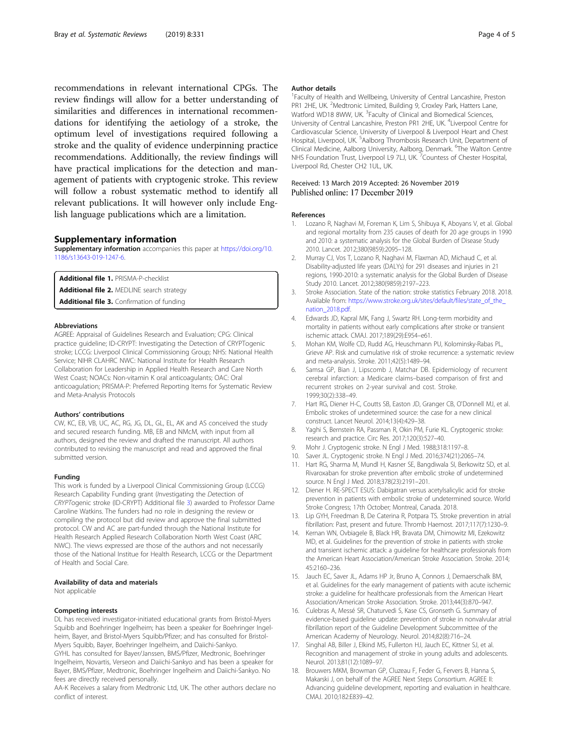<span id="page-3-0"></span>recommendations in relevant international CPGs. The review findings will allow for a better understanding of similarities and differences in international recommendations for identifying the aetiology of a stroke, the optimum level of investigations required following a stroke and the quality of evidence underpinning practice recommendations. Additionally, the review findings will have practical implications for the detection and management of patients with cryptogenic stroke. This review will follow a robust systematic method to identify all relevant publications. It will however only include English language publications which are a limitation.

#### Supplementary information

Supplementary information accompanies this paper at [https://doi.org/10.](https://doi.org/10.1186/s13643-019-1247-6) [1186/s13643-019-1247-6.](https://doi.org/10.1186/s13643-019-1247-6)

Additional file 1. PRISMA-P-checklist Additional file 2. MEDLINE search strategy Additional file 3. Confirmation of funding

#### Abbreviations

AGREE: Appraisal of Guidelines Research and Evaluation; CPG: Clinical practice guideline; ID-CRYPT: Investigating the Detection of CRYPTogenic stroke; LCCG: Liverpool Clinical Commissioning Group; NHS: National Health Service; NIHR CLAHRC NWC: National Institute for Health Research Collaboration for Leadership in Applied Health Research and Care North West Coast; NOACs: Non-vitamin K oral anticoagulants; OAC: Oral anticoagulation; PRISMA-P: Preferred Reporting Items for Systematic Review and Meta-Analysis Protocols

#### Authors' contributions

CW, KC, EB, VB, UC, AC, RG, JG, DL, GL, EL, AK and AS conceived the study and secured research funding. MB, EB and NMcM, with input from all authors, designed the review and drafted the manuscript. All authors contributed to revising the manuscript and read and approved the final submitted version.

#### Funding

This work is funded by a Liverpool Clinical Commissioning Group (LCCG) Research Capability Funding grant (Investigating the Detection of CRYPTogenic stroke (ID-CRYPT) Additional file 3) awarded to Professor Dame Caroline Watkins. The funders had no role in designing the review or compiling the protocol but did review and approve the final submitted protocol. CW and AC are part-funded through the National Institute for Health Research Applied Research Collaboration North West Coast (ARC NWC). The views expressed are those of the authors and not necessarily those of the National Institue for Health Research, LCCG or the Department of Health and Social Care.

#### Availability of data and materials

Not applicable

#### Competing interests

DL has received investigator-initiated educational grants from Bristol-Myers Squibb and Boehringer Ingelheim; has been a speaker for Boehringer Ingelheim, Bayer, and Bristol-Myers Squibb/Pfizer; and has consulted for Bristol-Myers Squibb, Bayer, Boehringer Ingelheim, and Daiichi-Sankyo. GYHL has consulted for Bayer/Janssen, BMS/Pfizer, Medtronic, Boehringer

Ingelheim, Novartis, Verseon and Daiichi-Sankyo and has been a speaker for Bayer, BMS/Pfizer, Medtronic, Boehringer Ingelheim and Daiichi-Sankyo. No fees are directly received personally.

AA-K Receives a salary from Medtronic Ltd, UK. The other authors declare no conflict of interest.

#### Author details

<sup>1</sup> Faculty of Health and Wellbeing, University of Central Lancashire, Preston PR1 2HE, UK. <sup>2</sup>Medtronic Limited, Building 9, Croxley Park, Hatters Lane Watford WD18 8WW, UK. <sup>3</sup>Faculty of Clinical and Biomedical Sciences, University of Central Lancashire, Preston PR1 2HE, UK. <sup>4</sup>Liverpool Centre for Cardiovascular Science, University of Liverpool & Liverpool Heart and Chest Hospital, Liverpool, UK. <sup>5</sup>Aalborg Thrombosis Research Unit, Department of Clinical Medicine, Aalborg University, Aalborg, Denmark. <sup>6</sup>The Walton Centre NHS Foundation Trust, Liverpool L9 7LJ, UK. <sup>7</sup> Countess of Chester Hospital, Liverpool Rd, Chester CH2 1UL, UK.

## Received: 13 March 2019 Accepted: 26 November 2019

#### References

- 1. Lozano R, Naghavi M, Foreman K, Lim S, Shibuya K, Aboyans V, et al. Global and regional mortality from 235 causes of death for 20 age groups in 1990 and 2010: a systematic analysis for the Global Burden of Disease Study 2010. Lancet. 2012;380(9859):2095–128.
- 2. Murray CJ, Vos T, Lozano R, Naghavi M, Flaxman AD, Michaud C, et al. Disability-adjusted life years (DALYs) for 291 diseases and injuries in 21 regions, 1990-2010: a systematic analysis for the Global Burden of Disease Study 2010. Lancet. 2012;380(9859):2197–223.
- 3. Stroke Association. State of the nation: stroke statistics February 2018. 2018. Available from: [https://www.stroke.org.uk/sites/default/files/state\\_of\\_the\\_](https://www.stroke.org.uk/sites/default/files/state_of_the_nation_2018.pdf) [nation\\_2018.pdf.](https://www.stroke.org.uk/sites/default/files/state_of_the_nation_2018.pdf)
- 4. Edwards JD, Kapral MK, Fang J, Swartz RH. Long-term morbidity and mortality in patients without early complications after stroke or transient ischemic attack. CMAJ. 2017;189(29):E954–e61.
- 5. Mohan KM, Wolfe CD, Rudd AG, Heuschmann PU, Kolominsky-Rabas PL, Grieve AP. Risk and cumulative risk of stroke recurrence: a systematic review and meta-analysis. Stroke. 2011;42(5):1489–94.
- 6. Samsa GP, Bian J, Lipscomb J, Matchar DB. Epidemiology of recurrent cerebral infarction: a Medicare claims–based comparison of first and recurrent strokes on 2-year survival and cost. Stroke. 1999;30(2):338–49.
- 7. Hart RG, Diener H-C, Coutts SB, Easton JD, Granger CB, O'Donnell MJ, et al. Embolic strokes of undetermined source: the case for a new clinical construct. Lancet Neurol. 2014;13(4):429–38.
- 8. Yaghi S, Bernstein RA, Passman R, Okin PM, Furie KL. Cryptogenic stroke: research and practice. Circ Res. 2017;120(3):527–40.
- 9. Mohr J. Cryptogenic stroke. N Engl J Med. 1988;318:1197–8.
- 10. Saver JL. Cryptogenic stroke. N Engl J Med. 2016;374(21):2065–74.
- 11. Hart RG, Sharma M, Mundl H, Kasner SE, Bangdiwala SI, Berkowitz SD, et al. Rivaroxaban for stroke prevention after embolic stroke of undetermined source. N Engl J Med. 2018;378(23):2191–201.
- 12. Diener H. RE-SPECT ESUS: Dabigatran versus acetylsalicylic acid for stroke prevention in patients with embolic stroke of undetermined source. World Stroke Congress; 17th October; Montreal, Canada. 2018.
- 13. Lip GYH, Freedman B, De Caterina R, Potpara TS. Stroke prevention in atrial fibrillation: Past, present and future. Thromb Haemost. 2017;117(7):1230–9.
- 14. Kernan WN, Ovbiagele B, Black HR, Bravata DM, Chimowitz MI, Ezekowitz MD, et al. Guidelines for the prevention of stroke in patients with stroke and transient ischemic attack: a guideline for healthcare professionals from the American Heart Association/American Stroke Association. Stroke. 2014; 45:2160–236.
- 15. Jauch EC, Saver JL, Adams HP Jr, Bruno A, Connors J, Demaerschalk BM, et al. Guidelines for the early management of patients with acute ischemic stroke: a guideline for healthcare professionals from the American Heart Association/American Stroke Association. Stroke. 2013;44(3):870–947.
- 16. Culebras A, Messé SR, Chaturvedi S, Kase CS, Gronseth G. Summary of evidence-based guideline update: prevention of stroke in nonvalvular atrial fibrillation report of the Guideline Development Subcommittee of the American Academy of Neurology. Neurol. 2014;82(8):716–24.
- 17. Singhal AB, Biller J, Elkind MS, Fullerton HJ, Jauch EC, Kittner SJ, et al. Recognition and management of stroke in young adults and adolescents. Neurol. 2013;81(12):1089–97.
- 18. Brouwers MKM, Browman GP, Cluzeau F, Feder G, Fervers B, Hanna S, Makarski J, on behalf of the AGREE Next Steps Consortium. AGREE II: Advancing guideline development, reporting and evaluation in healthcare. CMAJ. 2010;182:E839–42.